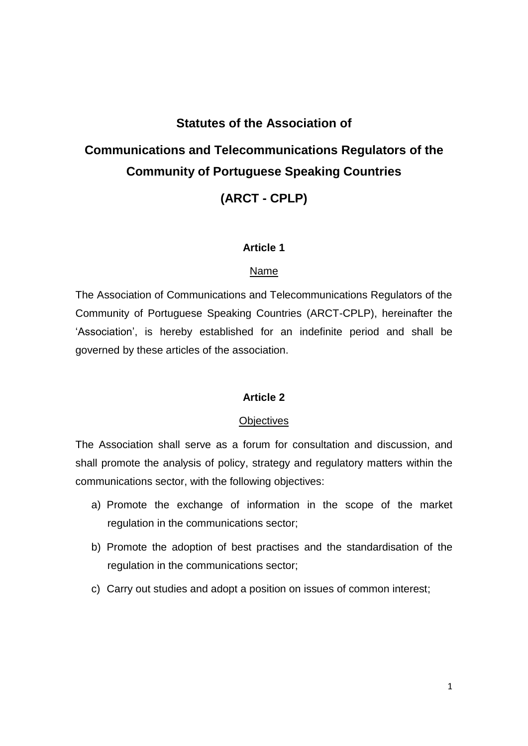# **Statutes of the Association of Communications and Telecommunications Regulators of the Community of Portuguese Speaking Countries (ARCT - CPLP)**

#### **Article 1**

#### Name

The Association of Communications and Telecommunications Regulators of the Community of Portuguese Speaking Countries (ARCT-CPLP), hereinafter the 'Association', is hereby established for an indefinite period and shall be governed by these articles of the association.

#### **Article 2**

#### **Objectives**

The Association shall serve as a forum for consultation and discussion, and shall promote the analysis of policy, strategy and regulatory matters within the communications sector, with the following objectives:

- a) Promote the exchange of information in the scope of the market regulation in the communications sector;
- b) Promote the adoption of best practises and the standardisation of the regulation in the communications sector;
- c) Carry out studies and adopt a position on issues of common interest;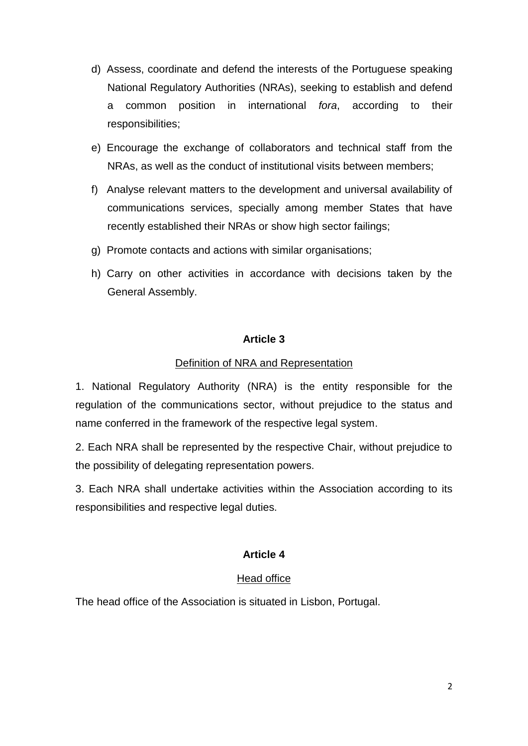- d) Assess, coordinate and defend the interests of the Portuguese speaking National Regulatory Authorities (NRAs), seeking to establish and defend a common position in international *fora*, according to their responsibilities;
- e) Encourage the exchange of collaborators and technical staff from the NRAs, as well as the conduct of institutional visits between members;
- f) Analyse relevant matters to the development and universal availability of communications services, specially among member States that have recently established their NRAs or show high sector failings;
- g) Promote contacts and actions with similar organisations;
- h) Carry on other activities in accordance with decisions taken by the General Assembly.

## Definition of NRA and Representation

1. National Regulatory Authority (NRA) is the entity responsible for the regulation of the communications sector, without prejudice to the status and name conferred in the framework of the respective legal system.

2. Each NRA shall be represented by the respective Chair, without prejudice to the possibility of delegating representation powers.

3. Each NRA shall undertake activities within the Association according to its responsibilities and respective legal duties.

## **Article 4**

## Head office

The head office of the Association is situated in Lisbon, Portugal.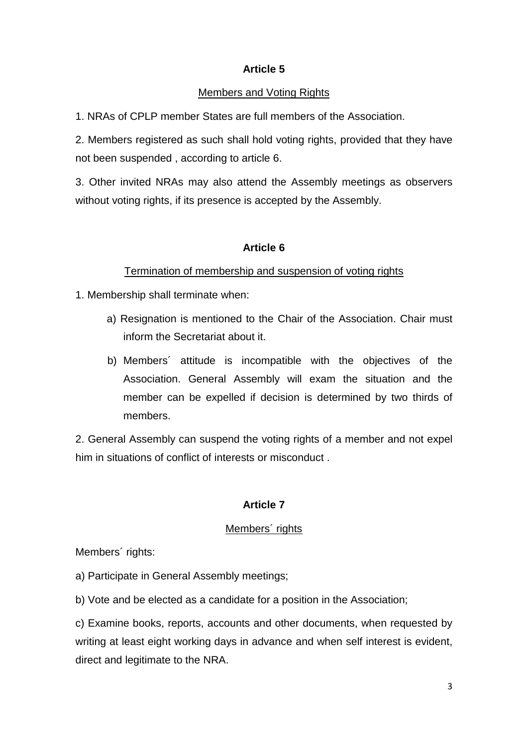## Members and Voting Rights

1. NRAs of CPLP member States are full members of the Association.

2. Members registered as such shall hold voting rights, provided that they have not been suspended , according to article 6.

3. Other invited NRAs may also attend the Assembly meetings as observers without voting rights, if its presence is accepted by the Assembly.

# **Article 6**

# Termination of membership and suspension of voting rights

1. Membership shall terminate when:

- a) Resignation is mentioned to the Chair of the Association. Chair must inform the Secretariat about it.
- b) Members´ attitude is incompatible with the objectives of the Association. General Assembly will exam the situation and the member can be expelled if decision is determined by two thirds of members.

2. General Assembly can suspend the voting rights of a member and not expel him in situations of conflict of interests or misconduct .

# **Article 7**

## Members<sup>'</sup> rights

Members<sup>'</sup> rights:

- a) Participate in General Assembly meetings;
- b) Vote and be elected as a candidate for a position in the Association;

c) Examine books, reports, accounts and other documents, when requested by writing at least eight working days in advance and when self interest is evident, direct and legitimate to the NRA.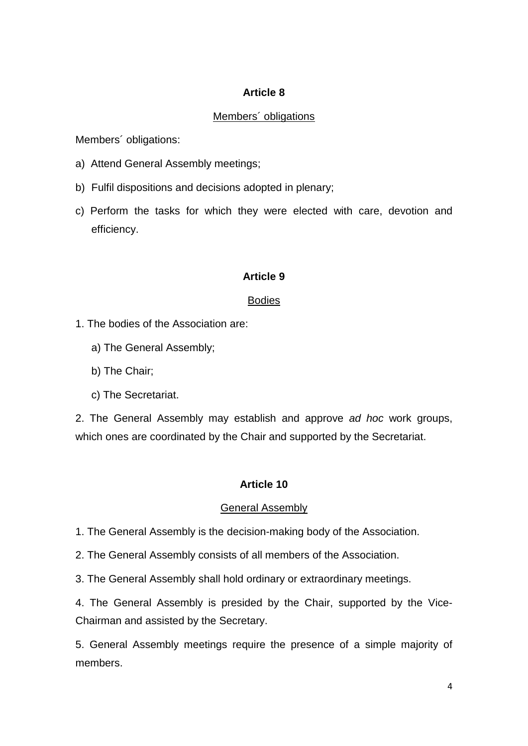## Members´ obligations

Members´ obligations:

- a) Attend General Assembly meetings;
- b) Fulfil dispositions and decisions adopted in plenary;
- c) Perform the tasks for which they were elected with care, devotion and efficiency.

## **Article 9**

## Bodies

- 1. The bodies of the Association are:
	- a) The General Assembly;
	- b) The Chair;
	- c) The Secretariat.

2. The General Assembly may establish and approve *ad hoc* work groups, which ones are coordinated by the Chair and supported by the Secretariat.

## **Article 10**

## General Assembly

1. The General Assembly is the decision-making body of the Association.

2. The General Assembly consists of all members of the Association.

3. The General Assembly shall hold ordinary or extraordinary meetings.

4. The General Assembly is presided by the Chair, supported by the Vice-Chairman and assisted by the Secretary.

5. General Assembly meetings require the presence of a simple majority of members.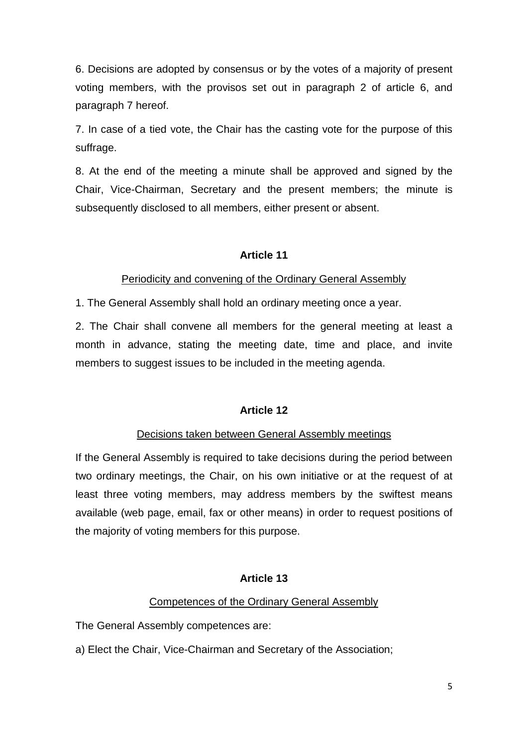6. Decisions are adopted by consensus or by the votes of a majority of present voting members, with the provisos set out in paragraph 2 of article 6, and paragraph 7 hereof.

7. In case of a tied vote, the Chair has the casting vote for the purpose of this suffrage.

8. At the end of the meeting a minute shall be approved and signed by the Chair, Vice-Chairman, Secretary and the present members; the minute is subsequently disclosed to all members, either present or absent.

## **Article 11**

## Periodicity and convening of the Ordinary General Assembly

1. The General Assembly shall hold an ordinary meeting once a year.

2. The Chair shall convene all members for the general meeting at least a month in advance, stating the meeting date, time and place, and invite members to suggest issues to be included in the meeting agenda.

## **Article 12**

#### Decisions taken between General Assembly meetings

If the General Assembly is required to take decisions during the period between two ordinary meetings, the Chair, on his own initiative or at the request of at least three voting members, may address members by the swiftest means available (web page, email, fax or other means) in order to request positions of the majority of voting members for this purpose.

## **Article 13**

#### Competences of the Ordinary General Assembly

The General Assembly competences are:

a) Elect the Chair, Vice-Chairman and Secretary of the Association;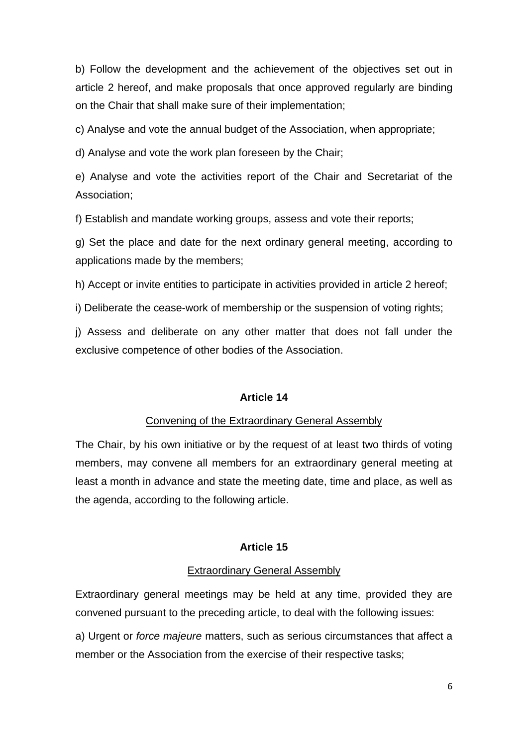b) Follow the development and the achievement of the objectives set out in article 2 hereof, and make proposals that once approved regularly are binding on the Chair that shall make sure of their implementation;

c) Analyse and vote the annual budget of the Association, when appropriate;

d) Analyse and vote the work plan foreseen by the Chair;

e) Analyse and vote the activities report of the Chair and Secretariat of the Association;

f) Establish and mandate working groups, assess and vote their reports;

g) Set the place and date for the next ordinary general meeting, according to applications made by the members;

h) Accept or invite entities to participate in activities provided in article 2 hereof;

i) Deliberate the cease-work of membership or the suspension of voting rights;

j) Assess and deliberate on any other matter that does not fall under the exclusive competence of other bodies of the Association.

## **Article 14**

## Convening of the Extraordinary General Assembly

The Chair, by his own initiative or by the request of at least two thirds of voting members, may convene all members for an extraordinary general meeting at least a month in advance and state the meeting date, time and place, as well as the agenda, according to the following article.

## **Article 15**

## Extraordinary General Assembly

Extraordinary general meetings may be held at any time, provided they are convened pursuant to the preceding article, to deal with the following issues:

a) Urgent or *force majeure* matters, such as serious circumstances that affect a member or the Association from the exercise of their respective tasks;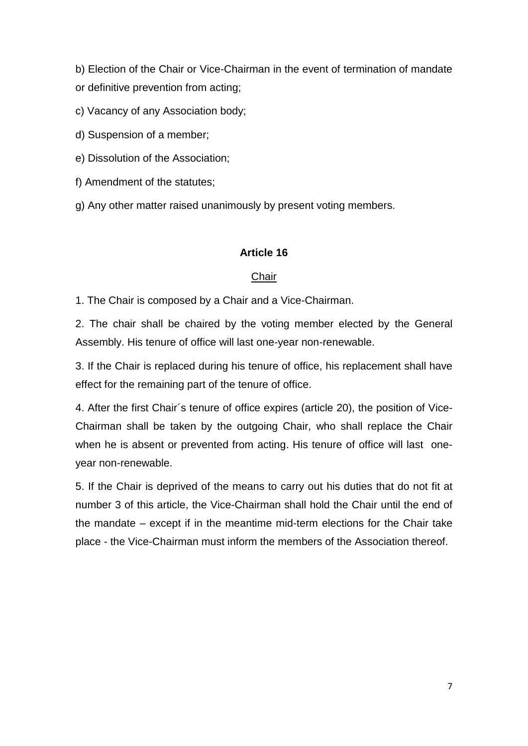b) Election of the Chair or Vice-Chairman in the event of termination of mandate or definitive prevention from acting;

- c) Vacancy of any Association body;
- d) Suspension of a member;
- e) Dissolution of the Association;
- f) Amendment of the statutes;
- g) Any other matter raised unanimously by present voting members.

## **Article 16**

## **Chair**

1. The Chair is composed by a Chair and a Vice-Chairman.

2. The chair shall be chaired by the voting member elected by the General Assembly. His tenure of office will last one-year non-renewable.

3. If the Chair is replaced during his tenure of office, his replacement shall have effect for the remaining part of the tenure of office.

4. After the first Chair´s tenure of office expires (article 20), the position of Vice-Chairman shall be taken by the outgoing Chair, who shall replace the Chair when he is absent or prevented from acting. His tenure of office will last oneyear non-renewable.

5. If the Chair is deprived of the means to carry out his duties that do not fit at number 3 of this article, the Vice-Chairman shall hold the Chair until the end of the mandate – except if in the meantime mid-term elections for the Chair take place - the Vice-Chairman must inform the members of the Association thereof.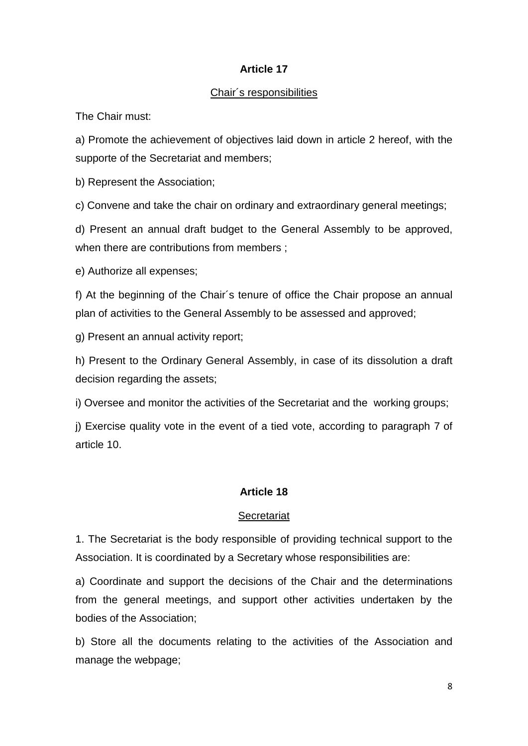## Chair´s responsibilities

The Chair must:

a) Promote the achievement of objectives laid down in article 2 hereof, with the supporte of the Secretariat and members;

b) Represent the Association;

c) Convene and take the chair on ordinary and extraordinary general meetings;

d) Present an annual draft budget to the General Assembly to be approved, when there are contributions from members :

e) Authorize all expenses;

f) At the beginning of the Chair´s tenure of office the Chair propose an annual plan of activities to the General Assembly to be assessed and approved;

g) Present an annual activity report;

h) Present to the Ordinary General Assembly, in case of its dissolution a draft decision regarding the assets;

i) Oversee and monitor the activities of the Secretariat and the working groups;

j) Exercise quality vote in the event of a tied vote, according to paragraph 7 of article 10.

## **Article 18**

## **Secretariat**

1. The Secretariat is the body responsible of providing technical support to the Association. It is coordinated by a Secretary whose responsibilities are:

a) Coordinate and support the decisions of the Chair and the determinations from the general meetings, and support other activities undertaken by the bodies of the Association;

b) Store all the documents relating to the activities of the Association and manage the webpage;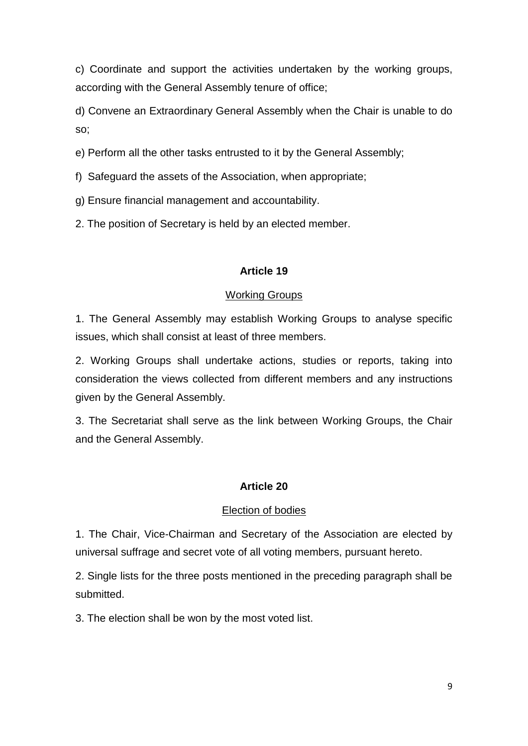c) Coordinate and support the activities undertaken by the working groups, according with the General Assembly tenure of office;

d) Convene an Extraordinary General Assembly when the Chair is unable to do so;

e) Perform all the other tasks entrusted to it by the General Assembly;

- f) Safeguard the assets of the Association, when appropriate;
- g) Ensure financial management and accountability.
- 2. The position of Secretary is held by an elected member.

## **Article 19**

## Working Groups

1. The General Assembly may establish Working Groups to analyse specific issues, which shall consist at least of three members.

2. Working Groups shall undertake actions, studies or reports, taking into consideration the views collected from different members and any instructions given by the General Assembly.

3. The Secretariat shall serve as the link between Working Groups, the Chair and the General Assembly.

## **Article 20**

## Election of bodies

1. The Chair, Vice-Chairman and Secretary of the Association are elected by universal suffrage and secret vote of all voting members, pursuant hereto.

2. Single lists for the three posts mentioned in the preceding paragraph shall be submitted.

3. The election shall be won by the most voted list.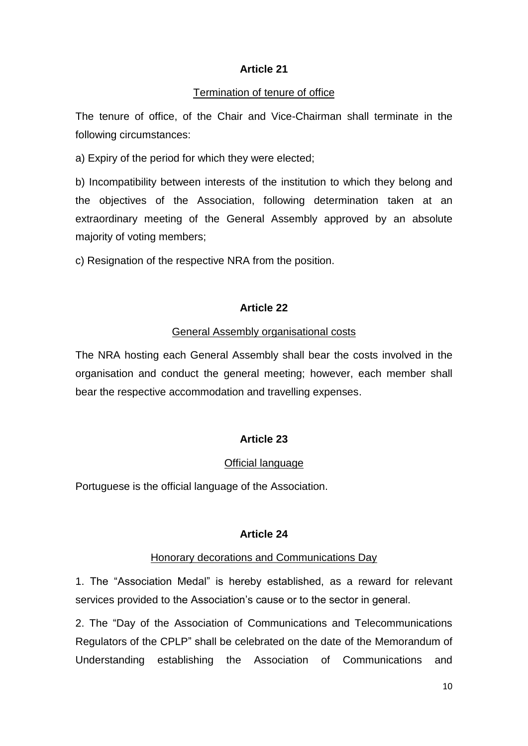## Termination of tenure of office

The tenure of office, of the Chair and Vice-Chairman shall terminate in the following circumstances:

a) Expiry of the period for which they were elected;

b) Incompatibility between interests of the institution to which they belong and the objectives of the Association, following determination taken at an extraordinary meeting of the General Assembly approved by an absolute majority of voting members;

c) Resignation of the respective NRA from the position.

# **Article 22**

## General Assembly organisational costs

The NRA hosting each General Assembly shall bear the costs involved in the organisation and conduct the general meeting; however, each member shall bear the respective accommodation and travelling expenses.

# **Article 23**

# Official language

Portuguese is the official language of the Association.

## **Article 24**

## Honorary decorations and Communications Day

1. The "Association Medal" is hereby established, as a reward for relevant services provided to the Association's cause or to the sector in general.

2. The "Day of the Association of Communications and Telecommunications Regulators of the CPLP" shall be celebrated on the date of the Memorandum of Understanding establishing the Association of Communications and